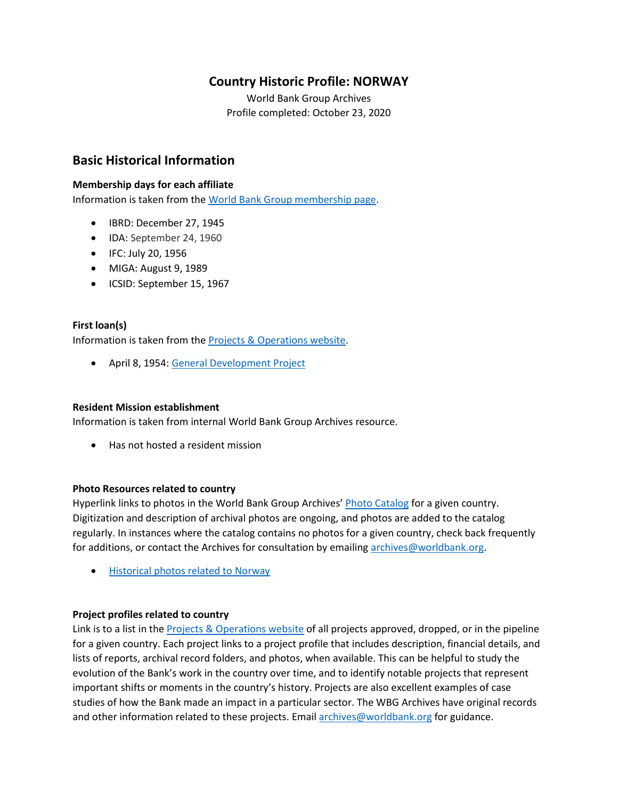# **Country Historic Profile: NORWAY**

World Bank Group Archives Profile completed: October 23, 2020

# **Basic Historical Information**

## **Membership days for each affiliate**

Information is taken from th[e World Bank Group membership page.](https://www.worldbank.org/en/about/leadership/members#1)

- IBRD: December 27, 1945
- IDA: September 24, 1960
- IFC: July 20, 1956
- MIGA: August 9, 1989
- ICSID: September 15, 1967

## **First loan(s)**

Information is taken from th[e Projects & Operations website.](https://projects.worldbank.org/)

• April 8, 1954: [General Development Project](https://projects.worldbank.org/en/projects-operations/project-detail/P037466)

## **Resident Mission establishment**

Information is taken from internal World Bank Group Archives resource.

• Has not hosted a resident mission

## **Photo Resources related to country**

Hyperlink links to photos in the World Bank Group Archives' [Photo Catalog](https://archivesphotos.worldbank.org/en/about/archives/photo-gallery) for a given country. Digitization and description of archival photos are ongoing, and photos are added to the catalog regularly. In instances where the catalog contains no photos for a given country, check back frequently for additions, or contact the Archives for consultation by emailing [archives@worldbank.org.](mailto:archives@worldbank.org)

• [Historical photos related to Norway](https://archivesphotos.worldbank.org/en/about/archives/photo-gallery/photo-gallery-landing?&qterm=norway)

## **Project profiles related to country**

Link is to a list in the [Projects & Operations website](https://projects.worldbank.org/) of all projects approved, dropped, or in the pipeline for a given country. Each project links to a project profile that includes description, financial details, and lists of reports, archival record folders, and photos, when available. This can be helpful to study the evolution of the Bank's work in the country over time, and to identify notable projects that represent important shifts or moments in the country's history. Projects are also excellent examples of case studies of how the Bank made an impact in a particular sector. The WBG Archives have original records and other information related to these projects. Email [archives@worldbank.org](mailto:archives@worldbank.org) for guidance.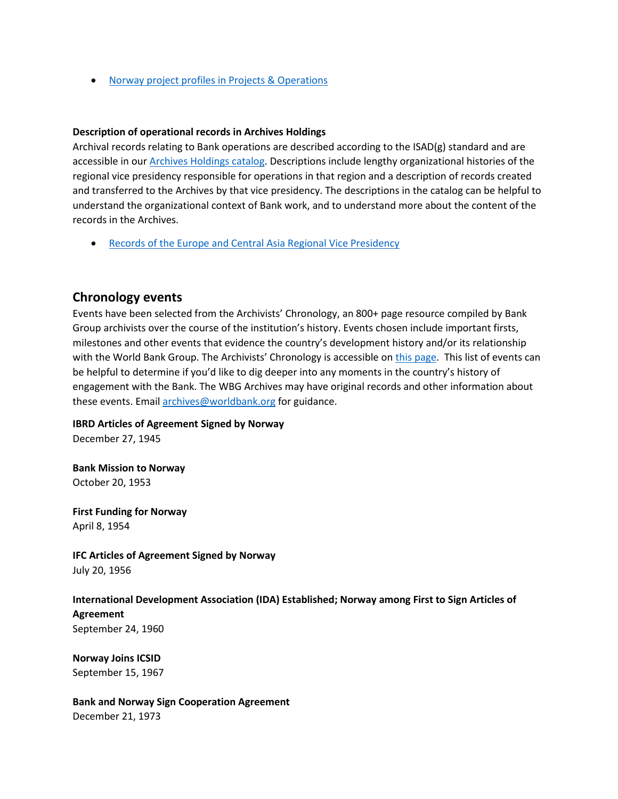• [Norway project profiles in Projects & Operations](https://projects.worldbank.org/en/projects-operations/projects-summary?countrycode_exact=NO)

#### **Description of operational records in Archives Holdings**

Archival records relating to Bank operations are described according to the ISAD(g) standard and are accessible in our [Archives Holdings catalog.](https://archivesholdings.worldbank.org/) Descriptions include lengthy organizational histories of the regional vice presidency responsible for operations in that region and a description of records created and transferred to the Archives by that vice presidency. The descriptions in the catalog can be helpful to understand the organizational context of Bank work, and to understand more about the content of the records in the Archives.

• [Records of the Europe and Central Asia Regional Vice Presidency](https://archivesholdings.worldbank.org/records-of-europe-and-central-asia-regional-vice-presidency)

## **Chronology events**

Events have been selected from the Archivists' Chronology, an 800+ page resource compiled by Bank Group archivists over the course of the institution's history. Events chosen include important firsts, milestones and other events that evidence the country's development history and/or its relationship with the World Bank Group. The Archivists' Chronology is accessible on [this page.](https://www.worldbank.org/en/about/archives/history/timeline) This list of events can be helpful to determine if you'd like to dig deeper into any moments in the country's history of engagement with the Bank. The WBG Archives may have original records and other information about these events. Email [archives@worldbank.org](mailto:archives@worldbank.org) for guidance.

**IBRD Articles of Agreement Signed by Norway** 

December 27, 1945

**Bank Mission to Norway**  October 20, 1953

**First Funding for Norway** April 8, 1954

**IFC Articles of Agreement Signed by Norway** July 20, 1956

**International Development Association (IDA) Established; Norway among First to Sign Articles of Agreement** September 24, 1960

**Norway Joins ICSID** September 15, 1967

**Bank and Norway Sign Cooperation Agreement** December 21, 1973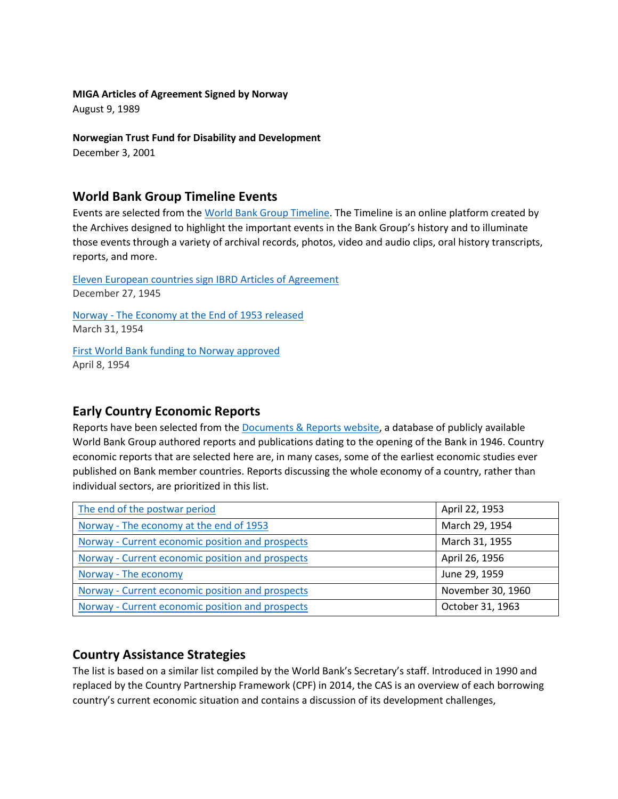## **MIGA Articles of Agreement Signed by Norway**

August 9, 1989

## **Norwegian Trust Fund for Disability and Development**

December 3, 2001

## **World Bank Group Timeline Events**

Events are selected from th[e World Bank Group Timeline.](https://timeline.worldbank.org/#event-bretton-woods-conference-begins) The Timeline is an online platform created by the Archives designed to highlight the important events in the Bank Group's history and to illuminate those events through a variety of archival records, photos, video and audio clips, oral history transcripts, reports, and more.

[Eleven European countries sign IBRD Articles of Agreement](https://timeline.worldbank.org/?field_timeline_target_id=All&combine=norway#event-eleven-european-countries-sign-ibrd-articles-of-agreement) December 27, 1945

Norway - [The Economy at the End of 1953 released](https://timeline.worldbank.org/?field_timeline_target_id=All&combine=norway#event-norway-the-economy-at-the-end-of-1953-released) March 31, 1954

[First World Bank funding to Norway approved](https://timeline.worldbank.org/?field_timeline_target_id=All&combine=norway#event-first-world-bank-funding-to-norway-approved) April 8, 1954

# **Early Country Economic Reports**

Reports have been selected from the [Documents & Reports website,](https://documents.worldbank.org/) a database of publicly available World Bank Group authored reports and publications dating to the opening of the Bank in 1946. Country economic reports that are selected here are, in many cases, some of the earliest economic studies ever published on Bank member countries. Reports discussing the whole economy of a country, rather than individual sectors, are prioritized in this list.

| The end of the postwar period                    | April 22, 1953    |
|--------------------------------------------------|-------------------|
| Norway - The economy at the end of 1953          | March 29, 1954    |
| Norway - Current economic position and prospects | March 31, 1955    |
| Norway - Current economic position and prospects | April 26, 1956    |
| Norway - The economy                             | June 29, 1959     |
| Norway - Current economic position and prospects | November 30, 1960 |
| Norway - Current economic position and prospects | October 31, 1963  |

# **Country Assistance Strategies**

The list is based on a similar list compiled by the World Bank's Secretary's staff. Introduced in 1990 and replaced by the Country Partnership Framework (CPF) in 2014, the CAS is an overview of each borrowing country's current economic situation and contains a discussion of its development challenges,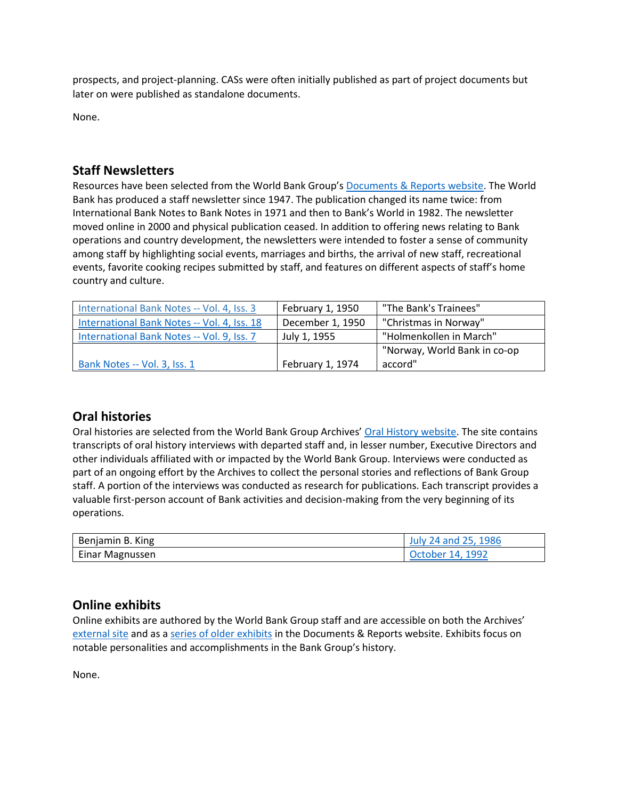prospects, and project-planning. CASs were often initially published as part of project documents but later on were published as standalone documents.

None.

# **Staff Newsletters**

Resources have been selected from the World Bank Group's [Documents & Reports website.](https://documents.worldbank.org/) The World Bank has produced a staff newsletter since 1947. The publication changed its name twice: from International Bank Notes to Bank Notes in 1971 and then to Bank's World in 1982. The newsletter moved online in 2000 and physical publication ceased. In addition to offering news relating to Bank operations and country development, the newsletters were intended to foster a sense of community among staff by highlighting social events, marriages and births, the arrival of new staff, recreational events, favorite cooking recipes submitted by staff, and features on different aspects of staff's home country and culture.

| International Bank Notes -- Vol. 4, Iss. 3  | February 1, 1950 | "The Bank's Trainees"        |  |
|---------------------------------------------|------------------|------------------------------|--|
| International Bank Notes -- Vol. 4, Iss. 18 | December 1, 1950 | "Christmas in Norway"        |  |
| International Bank Notes -- Vol. 9, Iss. 7  | July 1, 1955     | "Holmenkollen in March"      |  |
|                                             |                  | "Norway, World Bank in co-op |  |
| Bank Notes -- Vol. 3, Iss. 1                | February 1, 1974 | accord"                      |  |

# **Oral histories**

Oral histories are selected from the World Bank Group Archives' [Oral History website.](https://oralhistory.worldbank.org/) The site contains transcripts of oral history interviews with departed staff and, in lesser number, Executive Directors and other individuals affiliated with or impacted by the World Bank Group. Interviews were conducted as part of an ongoing effort by the Archives to collect the personal stories and reflections of Bank Group staff. A portion of the interviews was conducted as research for publications. Each transcript provides a valuable first-person account of Bank activities and decision-making from the very beginning of its operations.

| Benjamin B. King | July 24 and 25, 1986 |
|------------------|----------------------|
| Einar Magnussen  | October 14. 1992     |

# **Online exhibits**

Online exhibits are authored by the World Bank Group staff and are accessible on both the Archives' [external site](https://www.worldbank.org/en/about/archives/history/exhibits) and as a [series of older exhibits](https://documents.worldbank.org/en/publication/documents-reports/documentlist?colti=World%20Bank%20Group%20Archives%20exhibit%20series) in the Documents & Reports website. Exhibits focus on notable personalities and accomplishments in the Bank Group's history.

None.